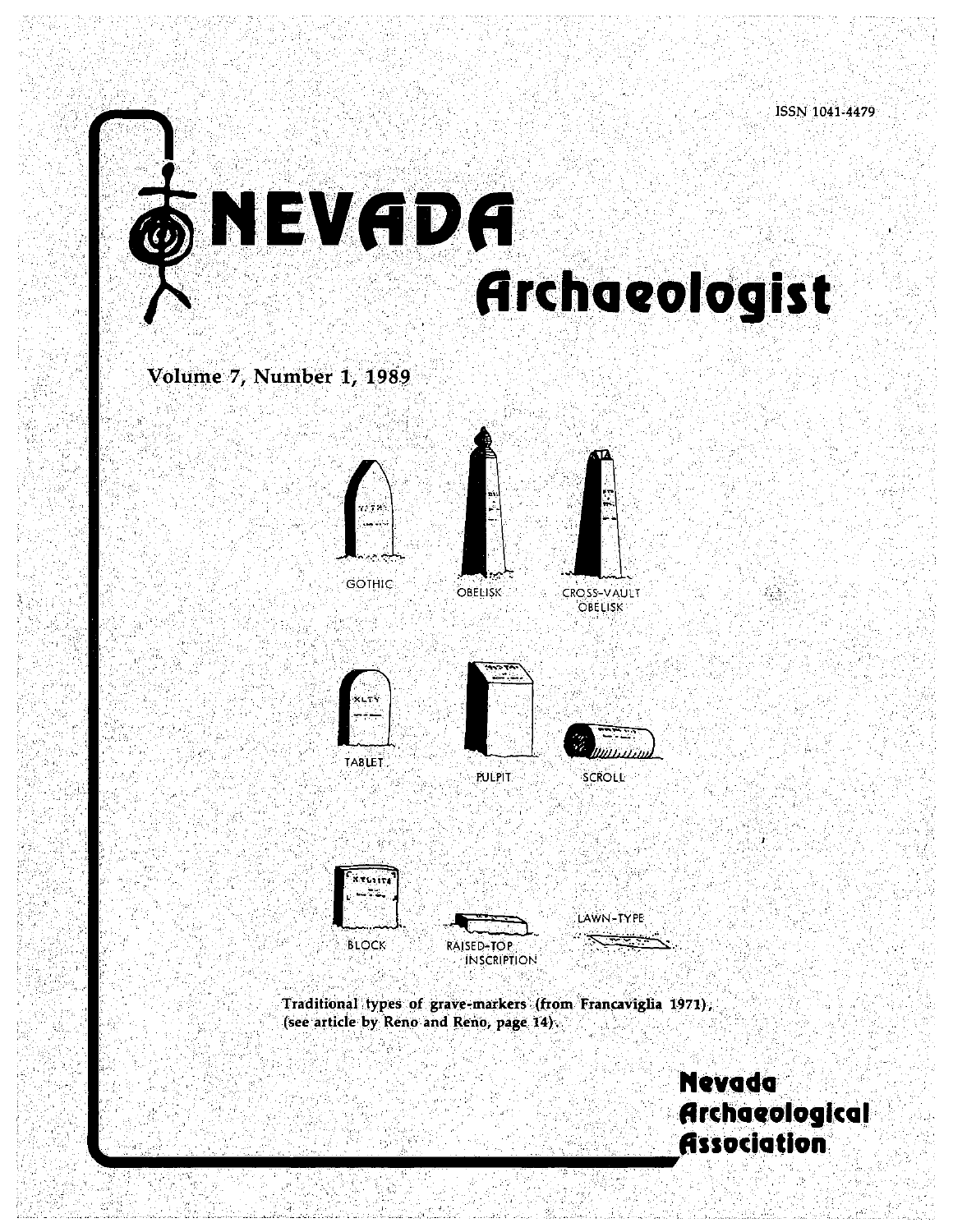# **1T Archaeologist**

Volume 7, Number 1, 1989







OBELISK CROSS-VAULT **OBELISK** 







Traditional types of grave-markers (from Francaviglia 1971), (see article by Reno and Reno, page  $14$ ).

> **Nevada Archaeological Association**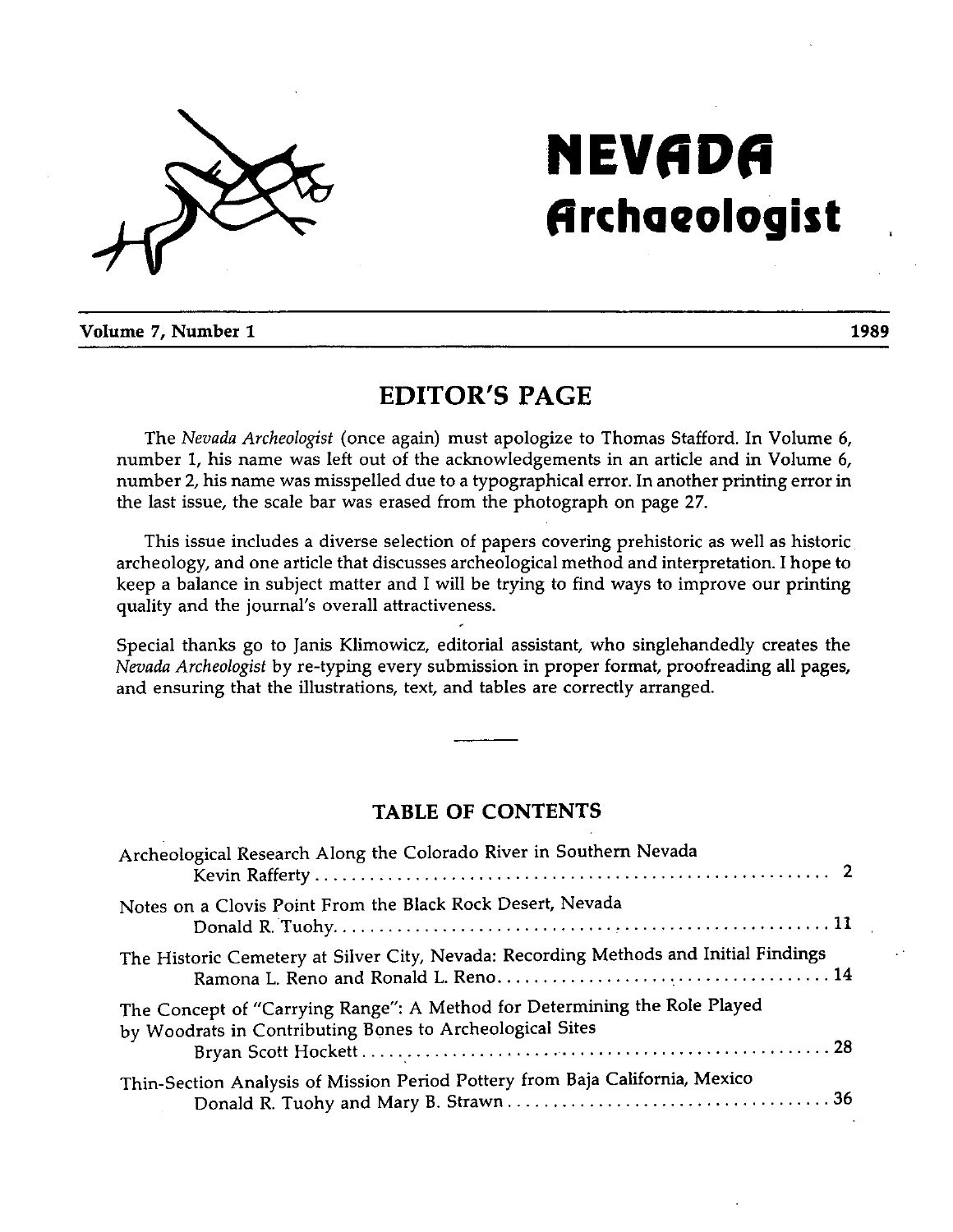

## NEVADA **Archaeologist**

Volume 7, Number 1

### EDITOR'S PAGE

The Nevada Archeologist (once again) must apologize to Thomas Stafford. In Volume 6, number 1, his name was left out of the acknowledgements in an article and in Volume 6, number 2, his name was misspelled due to a typographical error. In another printing error in the last issue, the scale bar was erased from the photograph on page 27.

This issue includes a diverse selection of papers covering prehistoric as well as historic archeology, and one article that discusses archeological method and interpretation. <sup>I</sup> hope to keep a balance in subject matter and <sup>I</sup> will be trying to find ways to improve our printing quality and the journal's overall attractiveness.

Special thanks go to Janis Klimowicz, editorial assistant, who singlehandedly creates the Nevada Archeologist by re-typing every submission in proper format, proofreading all pages, and ensuring that the illustrations, text, and tables are correctly arranged.

#### TABLE OF CONTENTS

| Archeological Research Along the Colorado River in Southern Nevada                                                                    |
|---------------------------------------------------------------------------------------------------------------------------------------|
| Notes on a Clovis Point From the Black Rock Desert, Nevada                                                                            |
| The Historic Cemetery at Silver City, Nevada: Recording Methods and Initial Findings                                                  |
| The Concept of "Carrying Range": A Method for Determining the Role Played<br>by Woodrats in Contributing Bones to Archeological Sites |
| Thin-Section Analysis of Mission Period Pottery from Baja California, Mexico                                                          |

1989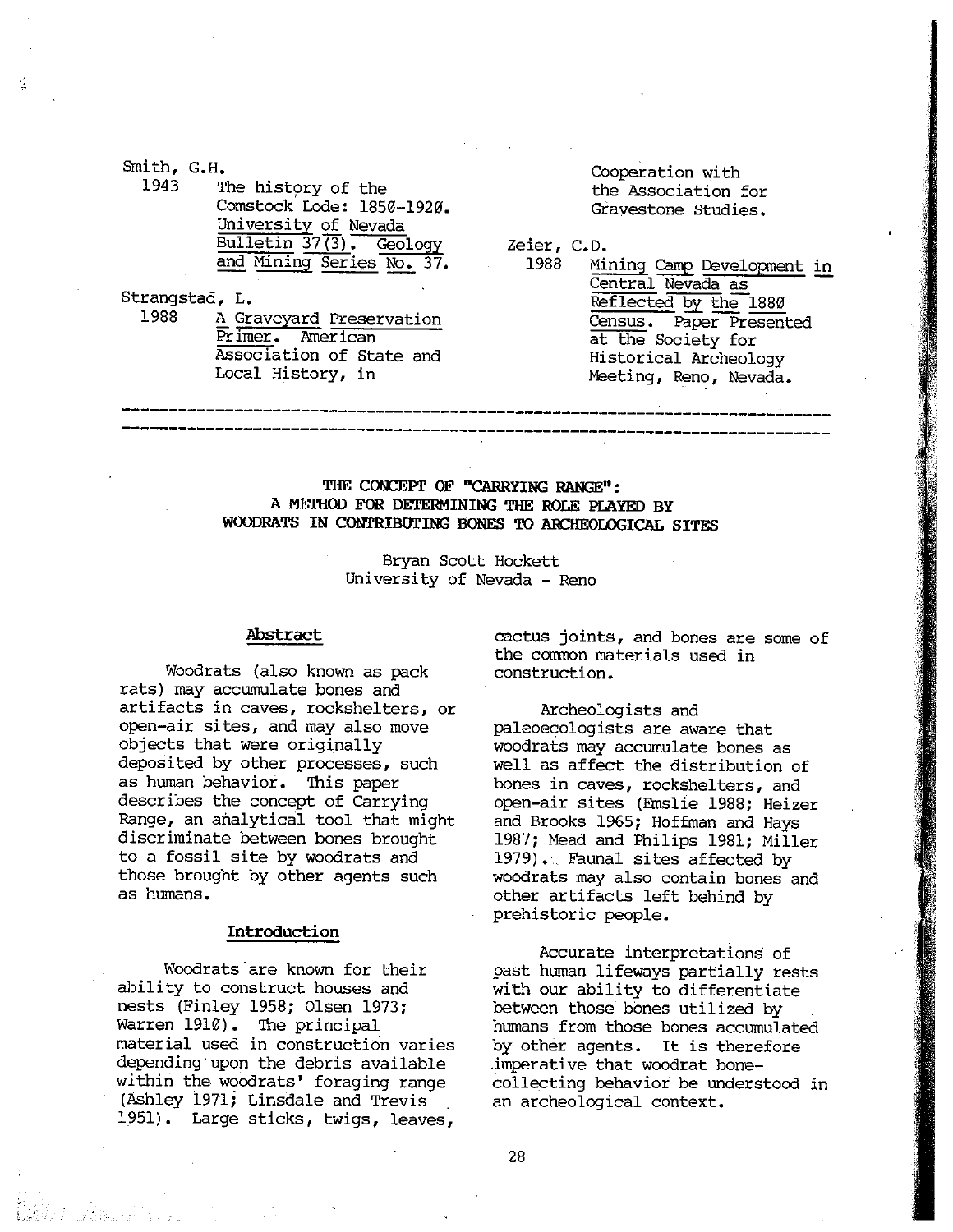Smith, G.H

1943 The history of the Comstock Lode: 1850—1920. University of Nevada Bulletin 37(3). Geology and Mining Series No. 37.

Strangstad, L.

1988 A Graveyard Preservation Primer. American Association of State and Local History, in

Cooperation with the Association for Gravestone Studies.

Zeier, C.D.

1988 Mining Camp Development in Central Nevada as Reflected by the 1880 Census. Paper Presented at the Society for Historical Archeology Meeting, Reno, Nevada.

#### THE CONCEPT OF "CARRYING RANGE": A METHOD FOR DETERMINING THE ROLE PLAYED BY WOODRATS IN CONTRIBUTING BONES TO ARCHEOLOGICAL SITES

Bryan Scott Hockett University of Nevada — Reno

#### Abstract

Woodrats (also known as pack rats) may accumulate bones and artifacts in caves, rockshelters, or open—air sites, and may also move objects that were originally deposited by other processes, such as human behavior. This paper describes the concept of Carrying Range, an analytical tool that might discriminate between bones brought to <sup>a</sup> fossil site by woodrats and those brought by other agents such as humans.

#### Introduction

Woodrats are known for their ability to construct houses and nests (Finley 1958; Olsen 1973; Warren 1910). The principal material used in construction varies depending upon the debris available within the woodrats' foraging range (Ashley 1971; Linsdale and Trevis 1951). Large sticks, twigs, leaves,

a<br>Kabupatèn Propinsi

cactus joints, and bones are some of the comon materials used in construction.

Archeologists and paleoecologists are aware that woodrats may accumulate bones as well as affect the distribution of bones in caves, rockshelters, and open-air sites (Emslie 1988; Heizer and Brooks 1965; Hoffman and Hays 1987; Mead and Philips 1981; Miller 1979). Faunal sites affected by woodrats may also contain bones and other artifacts left behind by prehistoric people.

Accurate interpretations of past human lifeways partially rests with our ability to differentiate between those bones utilized by humans from those bones accumulated by other agents. It is therefore imperative that woodrat bone collecting behavior be understood in an archeological context.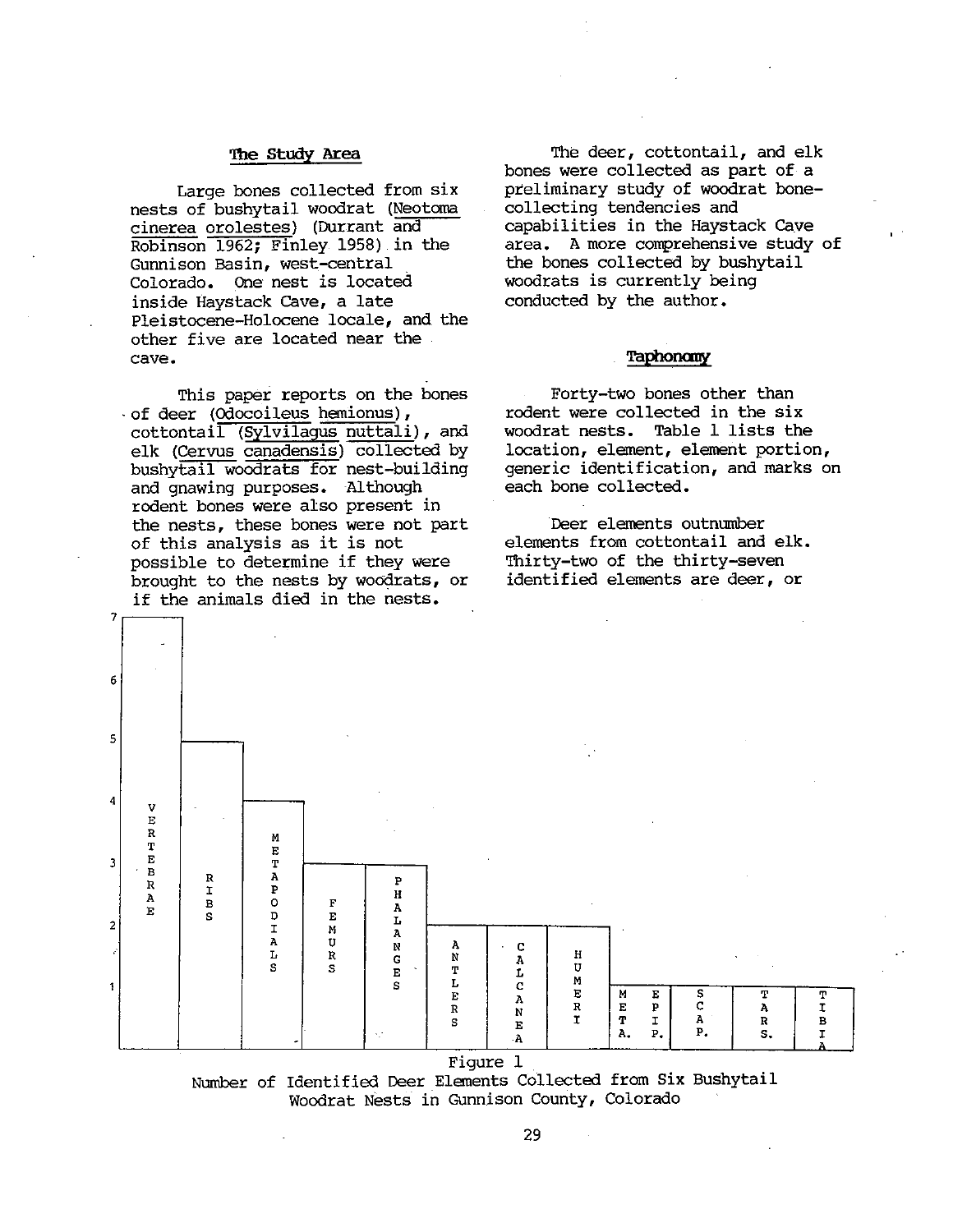#### The Study Area

Large bones collected from six nests of bushytail woodrat (Neotcma cinerea orolestes) (Durrant and Robinson 1962; Finley 1958) in the Cunnison Basin, west—central Colorado. One nest is located inside Haystack Cave, a late Pleistocene—Holocene locale, and the other five are located near the cave.

This paper reports on the bones • of deer (Odocoileus hemionus), cottontail (Sylvilagus nuttali), and elk (Cervus canadensis) collected by bushytail woodrats for nest—building and gnawing purposes. Although rodent bones were also present in the nests, these bones were not part of this analysis as it is not possible to determine if they were brought to the nests by woodrats, or if the animals died in the nests.

The deer, cottontail, and elk bones were collected as part of a preliminary study of woodrat bone collecting tendencies and capabilities in the Haystack Cave area. <sup>A</sup> more comprehensive study of the bones collected by bushytail woodrats is currently being conducted by the author.

#### Taphonciny

Forty—two bones other than rodent were collected in the six woodrat nests. Table <sup>1</sup> lists the location, element, element portion, generic identification, and marks on each bone collected.

Deer elements outnumber elements from cottontail and elk. Thirty—two of the thirty—seven identified elements are deer, or



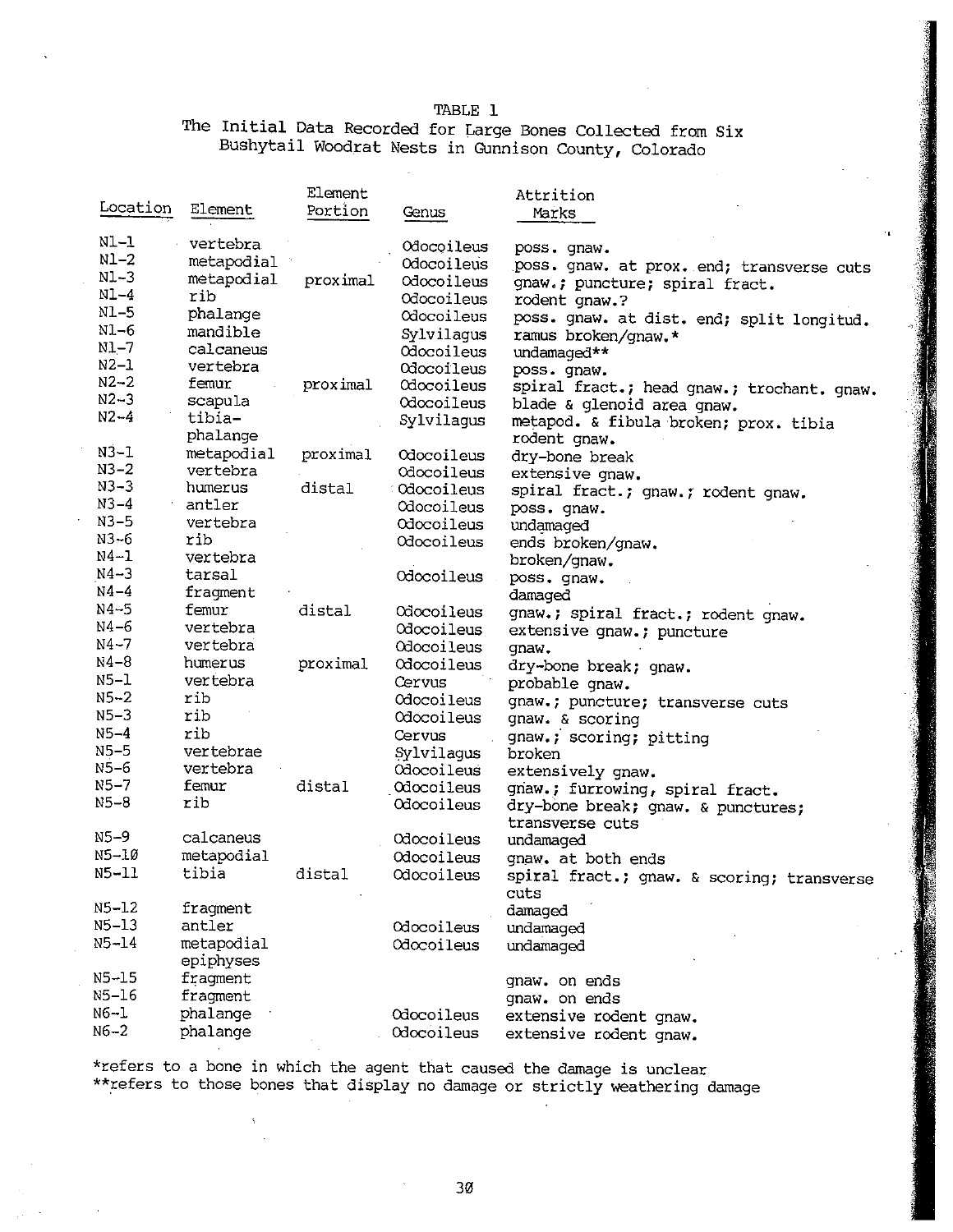TABLE 1

The Initial Data Recorded for Large Bones Collected from Six Bushytail Woodrat Nests in Gunnison County, Colorado

|           | Element    |          |                   | Attrition                                          |  |  |
|-----------|------------|----------|-------------------|----------------------------------------------------|--|--|
| Location  | Element    | Portion  | Genus             | Marks                                              |  |  |
|           |            |          |                   |                                                    |  |  |
| Nl-l      | vertebra   |          | Odocoileus        | poss. gnaw.                                        |  |  |
| $N1-2$    | metapodial |          | Odocoileus        | poss. gnaw. at prox. end; transverse cuts          |  |  |
| $N1-3$    | metapodial | proximal | Odocoileus        | gnaw.; puncture; spiral fract.                     |  |  |
| $NL-4$    | rib        |          | Odocoileus        | rodent gnaw.?                                      |  |  |
| $NL-5$    | phalange   |          | Odocoileus        | poss. gnaw. at dist. end; split longitud.          |  |  |
| N1-6      | mandible   |          | Sylvilagus        | ramus broken/gnaw.*                                |  |  |
| $N1 - 7$  | calcaneus  |          | Odocoileus        | undamaged**                                        |  |  |
| $N2-1$    | vertebra   |          | Odocoileus        | poss. gnaw.                                        |  |  |
| $N2 - 2$  | femur      | proximal | Odocoileus        | spiral fract.; head gnaw.; trochant. gnaw.         |  |  |
| $N2 - 3$  | scapula    |          | Odocoileus        | blade & glenoid area gnaw.                         |  |  |
| $N2 - 4$  | tibia-     |          | Sylvilagus        | metapod. & fibula broken; prox. tibia              |  |  |
|           | phalange   |          |                   | rodent gnaw.                                       |  |  |
| $N3-1$    | metapodial | proximal | Odocoileus        | dry-bone break                                     |  |  |
| $N3 - 2$  | vertebra   |          | Odocoileus        | extensive gnaw.                                    |  |  |
| $N3 - 3$  | humerus    | distal   | :Odocoileus       | spiral fract.; gnaw.; rodent gnaw.                 |  |  |
| $N3-4$    | antler     |          | Odocoileus        | poss. qnaw.                                        |  |  |
| $N3-5$    | vertebra   |          | Odocoileus        | undamaged                                          |  |  |
| $N3 - 6$  | rib        |          | Odocoileus        | ends broken/gnaw.                                  |  |  |
| N4-1      | vertebra   |          |                   | broken/gnaw.                                       |  |  |
| $N4 - 3$  | tarsal     |          | Odocoileus        | poss. gnaw.                                        |  |  |
| $N4-4$    | fragment   |          |                   | damaged                                            |  |  |
| $N4 - 5$  | femur      | distal   | Odocoileus        | gnaw.; spiral fract.; rodent gnaw.                 |  |  |
| $N4 - 6$  | vertebra   |          | Odocoileus        | extensive gnaw.; puncture                          |  |  |
| $N4 - 7$  | vertebra   |          | <b>Odocoileus</b> | qnaw.                                              |  |  |
| $N4-8$    | humerus    | proximal | Odocoileus        | dry-bone break; gnaw.                              |  |  |
| $N5-1$    | vertebra   |          | Cervus            | probable gnaw.                                     |  |  |
| $N5 - 2$  | rib        |          | Odocoileus        | gnaw.; puncture; transverse cuts                   |  |  |
| $N5-3$    | rib        |          | Odocoileus        | gnaw. & scoring                                    |  |  |
| $N5 - 4$  | rib        |          | Cervus            | gnaw.; scoring; pitting                            |  |  |
| $N5-5$    | vertebrae  |          | Sylvilagus        | broken                                             |  |  |
| N5-6      | vertebra   |          | Odocoileus        | extensively gnaw.                                  |  |  |
| $N5 - 7$  | femur      | distal   | Odocoileus        | gnaw.; furrowing, spiral fract.                    |  |  |
| $N5 - 8$  | rib        |          | Odocoileus        | dry-bone break; gnaw. & punctures;                 |  |  |
|           |            |          |                   | transverse cuts                                    |  |  |
| $N5 - 9$  | calcaneus  |          | Odocoileus        | undamaged                                          |  |  |
| $N5-10$   | metapodial |          | Odocoileus        | qnaw. at both ends                                 |  |  |
| N5-11     | tibia      | distal   | Odocoileus        |                                                    |  |  |
|           |            |          |                   | spiral fract.; gnaw. & scoring; transverse<br>cuts |  |  |
| $N5 - 12$ | fragment   |          |                   | damaged                                            |  |  |
| $N5 - 13$ | antler     |          | Odocoileus        | undamaged                                          |  |  |
| $N5 - 14$ | metapodial |          | Odocoileus        |                                                    |  |  |
|           | epiphyses  |          |                   | undamaged                                          |  |  |
| $N5 - 15$ | fragment   |          |                   |                                                    |  |  |
| N5-16     | fragment   |          |                   | gnaw. on ends                                      |  |  |
| $N6 - 1$  | phalange   |          | Odocoileus        | gnaw. on ends                                      |  |  |
| $N6-2$    | phalange   |          |                   | extensive rodent gnaw.                             |  |  |
|           |            |          | Odocoileus        | extensive rodent gnaw.                             |  |  |

\*refers to <sup>a</sup> bone in which the agent that caused the damage is unclear \*\*refers to those bones that display no damage or strictly weathering damage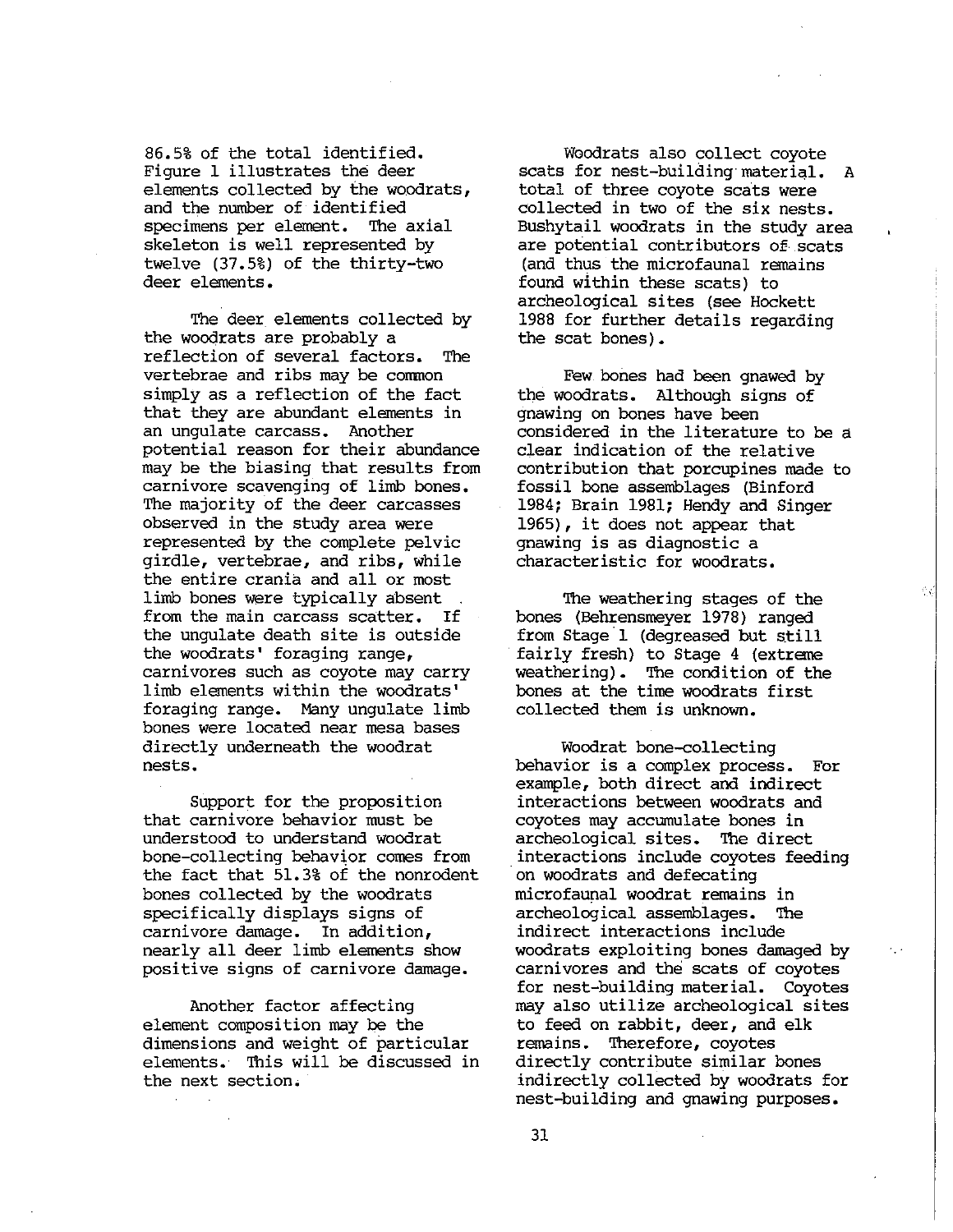86.5% of the total identified. Figure <sup>1</sup> illustrates the deer elements collected by the woodrats, and the number of identified specimens per element. The axial skeleton is well represented by twelve (37.5%) of the thirty—two deer elements.

The deer elements collected by the woodrats are probably a reflection of several factors. The vertebrae and ribs may be common simply as a reflection of the fact that they are abundant elements in an ungulate carcass. Another potential reason for their abundance may be the biasing that results from carnivore scavenging of limb bones. The majority of the deer carcasses observed in the study area were represented by the complete pelvic girdle, vertebrae, and ribs, while the entire crania and all or most limb bones were typically absent from the main carcass scatter. If the ungulate death site is outside the woodrats' foraging range, carnivores such as coyote may carry limb elements within the woodrats' foraging range. Many ungulate limb bones were located near mesa bases directly underneath the woodrat nests.

Support for the proposition that carnivore behavior must be understood to understand woodrat bone—collecting behavior comes from the fact that 51.3% of the nonrodent bones collected by the woodrats specifically displays signs of carnivore damage. In addition, nearly all deer limb elements show positive signs of carnivore damage.

Another factor affecting element composition may be the dimensions and weight of particular elements. This will be discussed in the next section.

Woodrats also collect coyote scats for nest—building material. <sup>A</sup> total of three coyote scats were collected in two of the six nests. Bushytail woodrats in the study area are potential contributors of scats (and thus the microfaunal remains found within these scats) to archeological sites (see Hockett <sup>1988</sup> for further details regarding the scat bones).

Few bones had been gnawed by the woodrats. Although signs of gnawing on bones have been considered in the literature to be a clear indication of the relative contribution that porcupines made to fossil bone assemblages (Binford 1984; Brain 1981; Hendy and Singer 1965), it does not appear that gnawing is as diagnostic a characteristic for woodrats.

The weathering stages of the bones (Behrensmeyer 1978) ranged from Stage <sup>1</sup> (degreased but still fairly fresh) to Stage <sup>4</sup> (extreme weathering). The condition of the bones at the time woodrats first collected them is unknown.

Ŵ

Woodrat bone—collecting behavior is a complex process. For example, both direct and indirect interactions between woodrats and coyotes may accumulate bones in archeological sites. The direct interactions include coyotes feeding on woodrats and defecating microfaunal woodrat remains in archeological assemblages. The indirect interactions include woodrats exploiting bones damaged by carnivores and the scats of coyotes for nest—building material. Coyotes may also utilize archeological sites to feed on rabbit, deer, and elk remains. Therefore, coyotes directly contribute similar bones indirectly collected by woodrats for nest—building and gnawing purposes.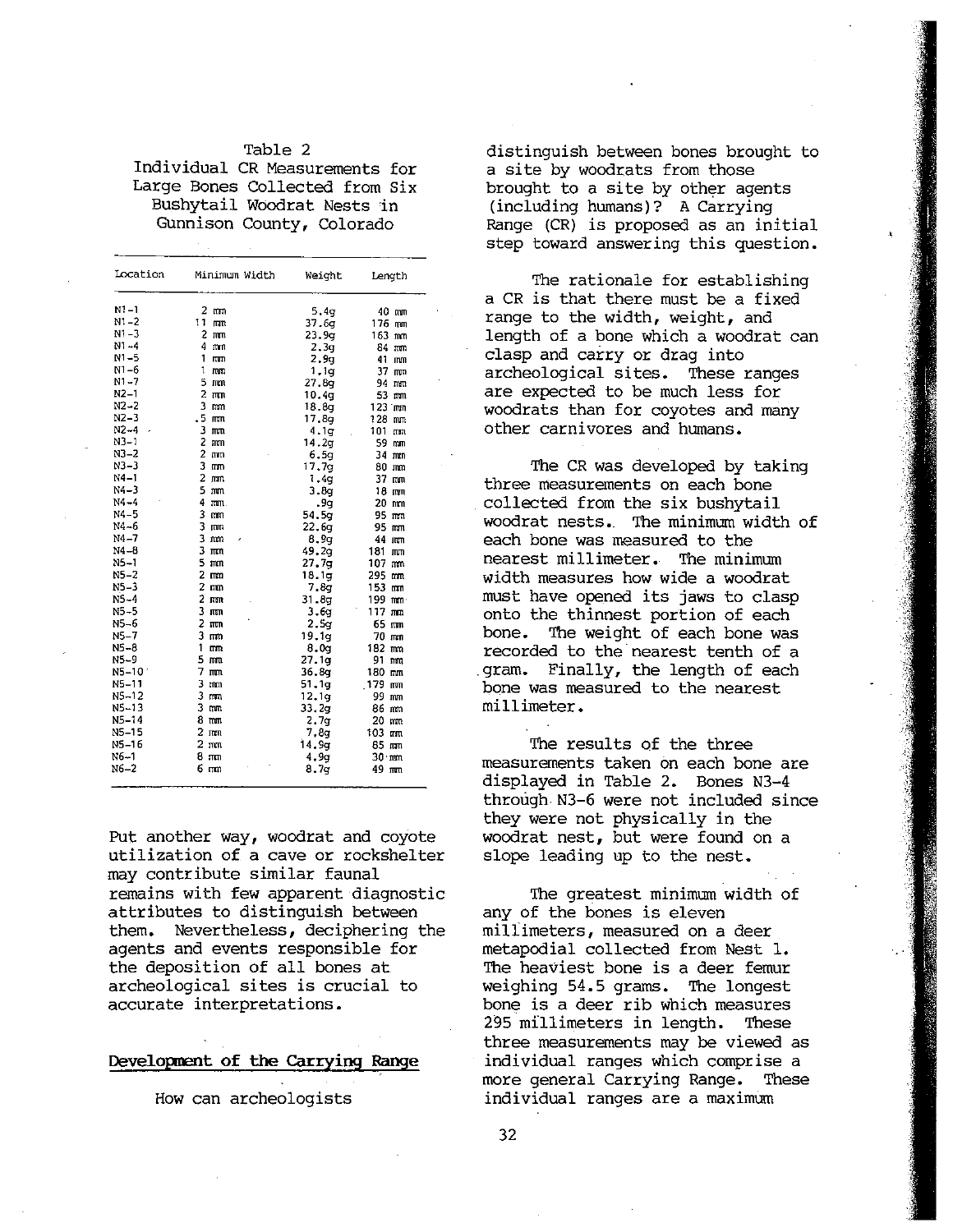#### Table 2 Individual CR Measurements for Large Bones Collected from Six Bushytail Woodrat Nests in Gunnison County, Colorado

| Location       | Minimum Width        | Weight           | Length               |
|----------------|----------------------|------------------|----------------------|
| $N1 - 1$       | $2 \,$ mm            | 5,4q             | 40 mm                |
| $N1 - 2$       | 11<br><b>TUTT</b>    | 37.6g            | 176 mm               |
| $N1 - 3$       | $2 \text{ mm}$       | 23.9q            | 163 mm               |
| $N1 - 4$       | $4 \text{ mm}$       | 2.3q             | 84 mm                |
| $N1 - 5$       | 1<br>rm              | 2.9 <sub>g</sub> | 41 mm                |
| $N1 - 6$       | 1<br>mm              | 1.1q             | 37 mm                |
| N1-7           | 5 mm                 | 27.89            | 94 mm                |
| $N2-1$         | $2 \pi n$            | 10.4q            | 53 mm                |
| $N2-2$         | 3<br>mm              | 18.8q            | 123 mm               |
| $N2 - 3$       | $.5 \,$ mm           | 17.8g            | 128 mm               |
| $N2 - 4$       | $3 \text{ mm}$       | 4.1q             | 101 mm               |
| $N3-1$         | 2<br>mm              | 14.2q            | 59 mm                |
| $N3 - 2$       | 2<br>mm              | 6.5q             | 34 mm                |
| $N3 - 3$       | 3<br><b>ππ</b>       | 17.7g            | 80 mm                |
| $N4 - 1$       | 2<br>(mm             | 1.4g             | 37 mm                |
| N4-3           | 5<br>mm              | 3.8g             | 18 mm                |
| $N4 - 4$       | 4<br>$m_{\rm B}$ .   | .9g              | $20$ mm              |
| $N4-5$         | 3<br>mm              | 54.5g            | 95 mm                |
| $N4 - 6$       | 3<br><b>mm</b>       | 22.6q            | 95 mm                |
| N4-7           | з<br>mm              | 8.9q             | 44 mm                |
| $N4 - 8$       | 3<br>ग्रहार          | 49.2a            | 181 mm               |
| $N5 - 1$       | 5<br>mm              | 27.7q            | 107 mm               |
| $N5 - 2$       | $\overline{2}$<br>ma | 18.1g            | 295<br>mu            |
| $N5-3$         | $2 \text{ mm}$       | 7.8q             | 153 mm               |
| $N5-4$         | $2 \,$ mm            | 31.8q            | 199 mm               |
| $N5-5$         | 3<br>$n_{\rm T}$     | 3.6q             | $117$ mm             |
| N5-6           | 2<br>$n_{\rm T}$     | 2.5 <sub>7</sub> | 65 mm                |
| NS-7           | $3 \, \text{mm}$     | 19.1q            | 70 mm                |
| N5-8           | 1<br>mm              | 8.09             | 182 mm               |
| N5-9           | 5<br>mm              | 27.1g            | 91.<br>mu            |
| $N5 - 10^{-7}$ | 7<br>$\pi\pi$        | 36,8q            | 180 mm               |
| $N5 - 11$      | 3<br>mm              | 51.1q            | 179 mm               |
| $NS - 12$      | 3<br>mm              | 12.1g            | 99 mm                |
| N5-13          | 3<br>mm              | 33.2g            | 86 mm                |
| $N5 - 14$      | 8 mm                 | 2.7g             | 20 mm                |
| $N5-15$        | $2 \text{ mm}$       | 7.8q             | 103 mm               |
| NS-16          | $2 \text{ mm}$       | 14.9g            | $85$ mm              |
| $N6 - 1$       | 8 mm                 | 4.9q             | $30 \cdot \text{mm}$ |
| N6-2           | 6 mm                 | 8.7q             |                      |

Put another way, woodrat and coyote woodrat nest, but were found on a utilization of a cave or rockshelter slope leading up to the nest. utilization of a cave or rockshelter may contribute similar faunal remains with few apparent diagnostic The greatest minimum width of attributes to distinguish between any of the bones is eleven<br>them. Nevertheless, deciphering the millimeters, measured on a deer them. Nevertheless, deciphering the millimeters, measured on a deer agents and events responsible for metapodial collected from Nest 1. agents and events responsible for<br>the deposition of all bones at archeological sites is crucial to accurate interpretations, bone is a deer rib which measures

. . .

distinguish between bones brought to a site by woodrats from those brought to <sup>a</sup> site by other agents (including humans)? <sup>A</sup> Carrying Range (CR) is proposed as an initial step toward answering this question.

The rationale for establishing a CR is that there must be a fixed range to the width, weight, and length of a bone which a woodrat can clasp and carry or drag into archeological sites. These ranges<br>are expected to be much less for woodrats than for coyotes and many other carnivores and humans.

The CR was developed by taking<br>three measurements on each bone collected from the six bushytail woodrat nests. The minimum width of each bone was measured to the nearest millimeter. The minimum<br>width measures how wide a woodrat must have opened its jaws to clasp onto the thinnest portion of each bone. The weight of each bone was recorded to the nearest tenth of a<br>qram. Finally, the length of each bone was measured to the nearest millimeter.

The results of the three measurements taken on each bone are displayed in Table 2. Bones N3—4 through N3-6 were not included since they were not physically in the

The heaviest bone is a deer femur<br>weighing 54.5 grams. The longest . 295 millimeters in length. These . three measurements may be viewed as Development of the Carrying Range individual ranges which comprise a . more general Carrying Range. These How can archeologists individual ranges are a maximum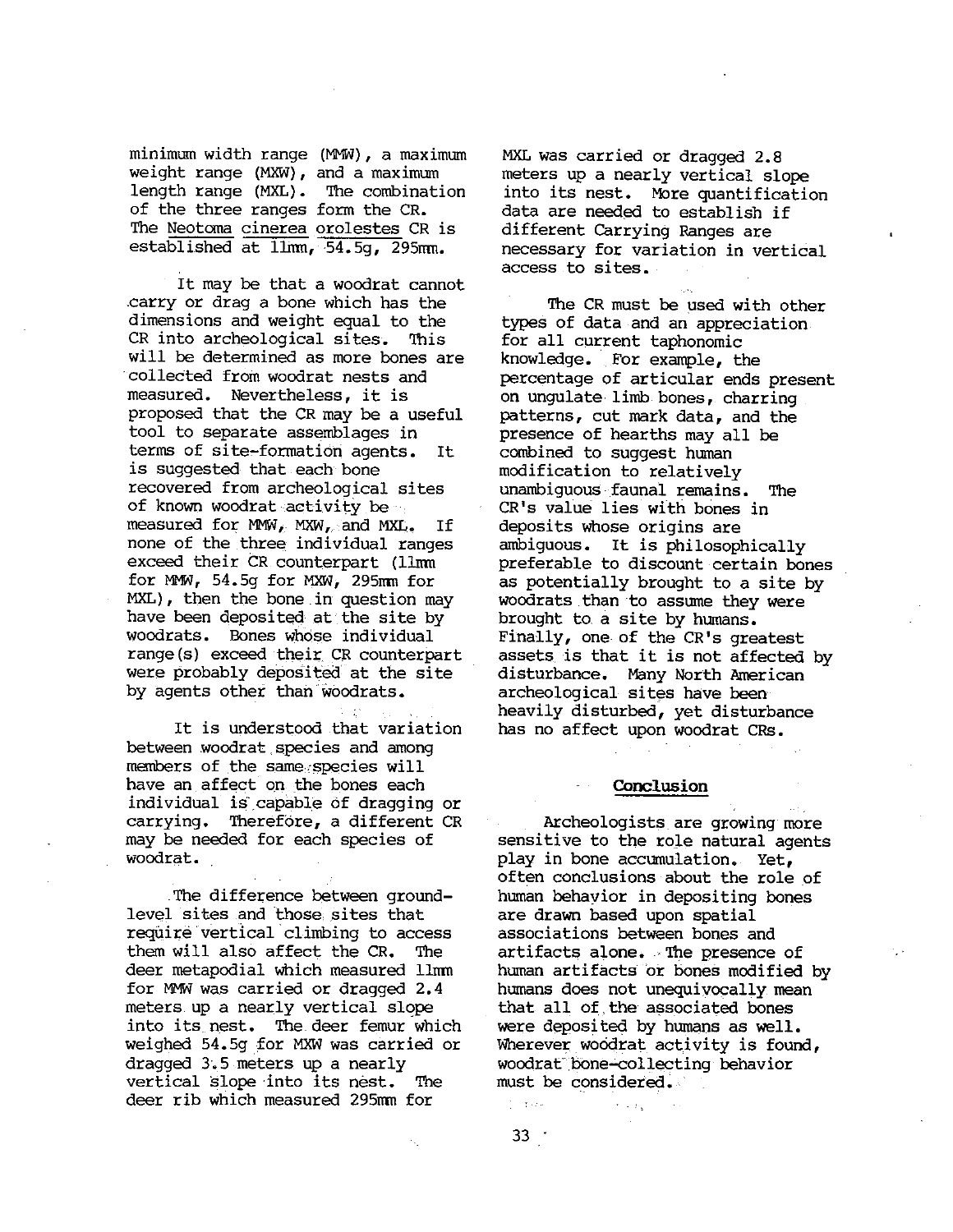minimum width range (MMW), a maximum weight range (MXW), and <sup>a</sup> maximum length range (MXII). The combination of the three ranges form the CR. The Meotoma cinerea orolestes CR is established at  $\lim_{t \to 54.59}$ , 295mm.

It may be that <sup>a</sup> woodrat cannot carry or drag a bone which has the dimensions and weight equal to the CR into archeological sites. This will be determined as more bones are colleeted from woodrat nests and measured. Nevertheless, it is proposed that the CR may be <sup>a</sup> useful tool to separate assemblages in terms of site—formation agents. It is suggested that each bone recovered from archeological sites of known woodrat activity be measured for MMW, MXW, and MXL. If none of the three individual ranges exceed their CR counterpart (llmn for NW, 54.5g for MXW, 295nm for MXL), then the bone in question may have been deposited at the site by woodrats. Bones whose individual range(s) exceed their CR counterpart were probably deposited at the site by agents other than woodrats.

It is understood that variation between woodrat species and among members of the same species will have an affect on the bones each individual is capable of dragging or carrying. Therefore, <sup>a</sup> different CR may be needed for each species of woodrat.

.me difference between ground level sites and those, sites that reqüirë vertical climbing to access them will also affect the CR. The deer metapodial which measured llmm for MMW was carried or dragged 2.4 meters up <sup>a</sup> nearly vertical slope into its nest. The.deer femur which weiqhed 54.5g for MXW was carried or dragged 3.5 meters up <sup>a</sup> nearly vertical slope into its nest. The deer rib which measured 295mm for

MXL was carried or dragged 2.8 meters up <sup>a</sup> nearly vertical slope into its nest. More quantification data are needed to establish if different Carrying Ranges are necessary for variation in vertical access to sites.

The CR must be used with other types of data and an appreciation for all current taphonomic knowledge. For example, the percentage of articular ends present on ungulate limb bones, charring patterns, cut mark data, and the presence of hearths may all be combined to suggest human modification to relatively unambiguous faunal remains. The CR's value lies with bones in deposits whose origins are ambiguous. It is <sup>p</sup>hilosophically preferable to discount certain bones as potentially brought to <sup>a</sup> site by woodrats than to assume they were brought to <sup>a</sup> site by humans. Finally, one of the CR's greatest assets is that it is not affected by disturbance. Many North American archeological sites have been' heavily disturbed, yet disturbance has no affect upon woodrat CRs.

#### Conclusion

Archeologists are growing more sensitive to the role natural agents play in bone accumulation. Yet, often conclusions about the role of human behavior in depositing bones are drawn based upon spatial associations between bones and artifacts alone. The presence of human artifacts or bones modified by humans does not unequivocally mean that all of, the associated bones were deposited by humans as well. Wherever woodrat activity is found, woodrat bone-collecting behavior must be considered.

 $\sim 100$ 

 $33$ 

 $\frac{1}{2}$  ,  $\frac{1}{2}$  ,  $\frac{1}{2}$  ,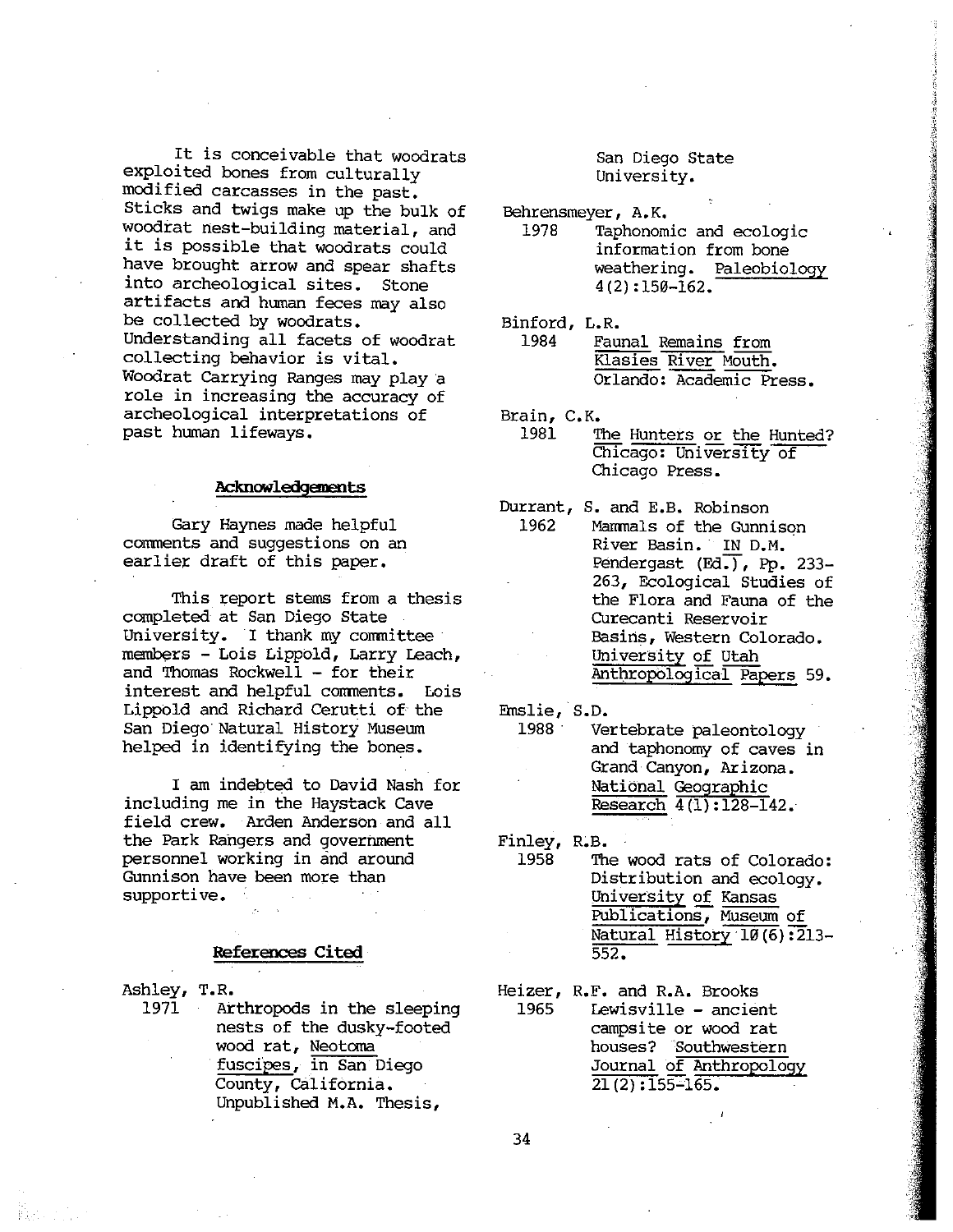It is conceivable that woodrats exploited bones from culturally modified carcasses in the past. Sticks and twigs make up the bulk of woodrat nest—building material, and it is possible that woodrats could have brought arrow and spear shafts into archeological sites. Stone artifacts and human feces may also be collected by woodrats. Understanding all facets of woodrat collecting behavior is vital. Woodrat Carrying Ranges may <sup>p</sup>lay <sup>a</sup> role in increasing the accuracy of archeological interpretations of past human lifeways.

#### Acknowledgements

Gary Haynes made helpful comments and suggestions on an earlier draft of this paper.

This report stems from <sup>a</sup> thesis completed at San Diego State University. I thank my committee members - Lois Lippold, Larry Leach, and Thomas Rockwell — for their interest and helpful conments. Lois Lippold and Richard Cerutti of the San Diego Natural History Museum helped in identifying the bones.

I am indebted to David Nash for including me in the Haystack Cave field crew. Arden Anderson and all the Park Rangers and government personnel working in and around Gunnison have been more than supportive.

#### References Cited

Ashley, T.R.

1971 Arthropods in the sleeping nests of the dusky—footed wood rat, Neotoma fuscipes, in San Diego County, California. Unpublished M.A. Thesis,

#### San Diego State University.

Behrensmeyer, A.K.

- 1978 Taphonomic and ecologic information from bone weathering. Paleobiology 4 (2) :150—162.
- Binford, L.R. 1984 Faunal Remains from Kiasies River Mouth. Orlando: Academic Press.
- Brain, C.K.
	- The Hunters or the Hunted? Chicago: University of Chicago Press. 1981
- Mammals of the Gunnison River Basin. IN D.M. Pendergast (Ed.), Pp. 233-263, Ecological Studies of the Flora and Fauna of the Curecanti Reservoir Basins, Western Colorado. University of Utah Anthropological Papers 59. Durrant, S. and E.B. Robinson 1962

Enslie, S.D.

<sup>1988</sup> Vertebrate paleontology and taphonomy of caves in Grand Canyon, Arizona. National Geographic Research  $4(1):128-142$ .

Finley, R.B.

- The wood rats of Colorado: Distribution and ecology. University of Kansas Publications, Museum of Natural History  $10(6)$ : 213-552. 1958
- Heizer, R.F. and R.A. Brooks 1965 Lewisville – ancient campsite or wood rat houses? Southwestern Journal of Anthropology 21 (2) :155—165.